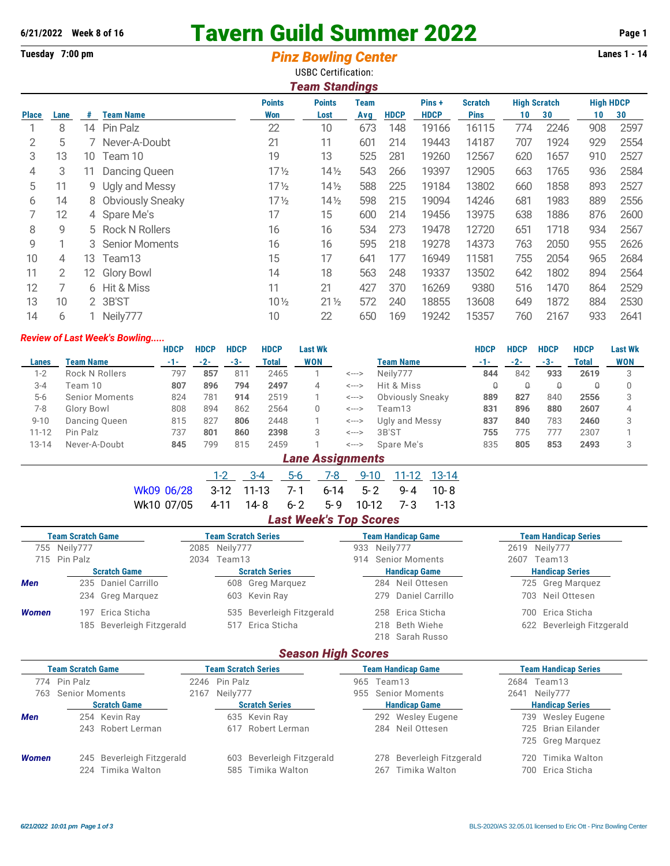# **6/21/2022 Week 8 of 16 Tavern Guild Summer 2022 Page 1**

## **Tuesday 7:00 pm** *Pinz Bowling Center* **Lanes 1 - 14**

| <b>USBC Certification:</b> |                                                                                                                      |     |                         |                 |                       |     |             |             |             |     |      |     |      |  |  |
|----------------------------|----------------------------------------------------------------------------------------------------------------------|-----|-------------------------|-----------------|-----------------------|-----|-------------|-------------|-------------|-----|------|-----|------|--|--|
|                            |                                                                                                                      |     |                         |                 | <b>Team Standings</b> |     |             |             |             |     |      |     |      |  |  |
|                            | <b>High HDCP</b><br><b>Points</b><br><b>Points</b><br>Pins +<br><b>High Scratch</b><br><b>Team</b><br><b>Scratch</b> |     |                         |                 |                       |     |             |             |             |     |      |     |      |  |  |
| <b>Place</b>               | Lane                                                                                                                 | #   | <b>Team Name</b>        | Won             | Lost                  | Avg | <b>HDCP</b> | <b>HDCP</b> | <b>Pins</b> | 10  | 30   | 10  | 30   |  |  |
|                            | 8                                                                                                                    | 14  | Pin Palz                | 22              | 10                    | 673 | 148         | 19166       | 16115       | 774 | 2246 | 908 | 2597 |  |  |
| 2                          | 5                                                                                                                    |     | Never-A-Doubt           | 21              | 11                    | 601 | 214         | 19443       | 14187       | 707 | 1924 | 929 | 2554 |  |  |
| 3                          | 13                                                                                                                   | 10  | Team 10                 | 19              | 13                    | 525 | 281         | 19260       | 12567       | 620 | 1657 | 910 | 2527 |  |  |
| 4                          | 3                                                                                                                    | 11. | Dancing Queen           | $17\frac{1}{2}$ | $14\frac{1}{2}$       | 543 | 266         | 19397       | 12905       | 663 | 1765 | 936 | 2584 |  |  |
| 5                          | 11                                                                                                                   |     | 9 Ugly and Messy        | $17\frac{1}{2}$ | $14\frac{1}{2}$       | 588 | 225         | 19184       | 13802       | 660 | 1858 | 893 | 2527 |  |  |
| 6                          | 14                                                                                                                   | 8   | <b>Obviously Sneaky</b> | $17\frac{1}{2}$ | $14\frac{1}{2}$       | 598 | 215         | 19094       | 14246       | 681 | 1983 | 889 | 2556 |  |  |
| 7                          | 12                                                                                                                   |     | 4 Spare Me's            | 17              | 15                    | 600 | 214         | 19456       | 13975       | 638 | 1886 | 876 | 2600 |  |  |
| 8                          | 9                                                                                                                    |     | 5 Rock N Rollers        | 16              | 16                    | 534 | 273         | 19478       | 12720       | 651 | 1718 | 934 | 2567 |  |  |
| 9                          |                                                                                                                      |     | 3 Senior Moments        | 16              | 16                    | 595 | 218         | 19278       | 14373       | 763 | 2050 | 955 | 2626 |  |  |
| 10                         | 4                                                                                                                    | 13. | Team13                  | 15              | 17                    | 641 | 177         | 16949       | 11581       | 755 | 2054 | 965 | 2684 |  |  |
| 11                         | 2                                                                                                                    | 12. | <b>Glory Bowl</b>       | 14              | 18                    | 563 | 248         | 19337       | 13502       | 642 | 1802 | 894 | 2564 |  |  |
| 12                         | 7                                                                                                                    | 6   | Hit & Miss              | 11              | 21                    | 427 | 370         | 16269       | 9380        | 516 | 1470 | 864 | 2529 |  |  |
| 13                         | 10                                                                                                                   |     | 2 3B'ST                 | $10\frac{1}{2}$ | $21\frac{1}{2}$       | 572 | 240         | 18855       | 13608       | 649 | 1872 | 884 | 2530 |  |  |
| 14                         | 6                                                                                                                    |     | Neily777                | 10              | 22                    | 650 | 169         | 19242       | 15357       | 760 | 2167 | 933 | 2641 |  |  |

#### *Review of Last Week's Bowling.....*

|              |                       | <b>HDCP</b> | <b>HDCP</b> | <b>HDCP</b> | <b>HDCP</b> | Last Wk    |       |                         | <b>HDCP</b> | <b>HDCP</b> | <b>HDCP</b> | <b>HDCP</b> | <b>Last Wk</b> |
|--------------|-----------------------|-------------|-------------|-------------|-------------|------------|-------|-------------------------|-------------|-------------|-------------|-------------|----------------|
| <b>Lanes</b> | Team Name             | -1-         | $-2-$       | $-3-$       | Total       | <b>WON</b> |       | <b>Team Name</b>        | $-1-$       | $-2-$       | $-3-$       | Total       | <b>WON</b>     |
| $1-2$        | <b>Rock N Rollers</b> | 797         | 857         | 811         | 2465        |            | <---> | Neilv777                | 844         | 842         | 933         | 2619        |                |
| $3 - 4$      | Team 10               | 807         | 896         | 794         | 2497        | 4          | <---> | Hit & Miss              |             |             | Q           |             |                |
| $5-6$        | <b>Senior Moments</b> | 824         | 781         | 914         | 2519        |            | <---> | <b>Obviously Sneaky</b> | 889         | 827         | 840         | 2556        |                |
| 7-8          | Glory Bowl            | 808         | 894         | 862         | 2564        | 0          | <---> | Team13                  | 831         | 896         | 880         | 2607        | 4              |
| $9 - 10$     | Dancing Queen         | 815         | 827         | 806         | 2448        |            | <---> | Ugly and Messy          | 837         | 840         | 783         | 2460        |                |
| $11 - 12$    | Pin Palz              | 737         | 801         | 860         | 2398        |            | <---> | 3B'ST                   | 755         | 775         | 777         | 2307        |                |
| $13 - 14$    | Never-A-Doubt         | 845         | 799         | 815         | 2459        |            | <---> | Spare Me's              | 835         | 805         | 853         | 2493        |                |
|              |                       |             |             |             |             |            |       |                         |             |             |             |             |                |

#### *Lane Assignments*

|                                             | $-3-4$ |  |                               | 5-6 7-8 9-10 11-12 13-14 |  |
|---------------------------------------------|--------|--|-------------------------------|--------------------------|--|
| Wk09 06/28 3-12 11-13 7-1 6-14 5-2 9-4 10-8 |        |  |                               |                          |  |
| Wk10 07/05 4-11 14-8 6-2 5-9 10-12 7-3 1-13 |        |  |                               |                          |  |
|                                             |        |  | <b>Last Week's Top Scores</b> |                          |  |

| <b>Team Scratch Game</b> |                     |                           | <b>Team Scratch Series</b> |                  |                           |                      |  | <b>Team Handicap Game</b> |                        | <b>Team Handicap Series</b> |  |  |
|--------------------------|---------------------|---------------------------|----------------------------|------------------|---------------------------|----------------------|--|---------------------------|------------------------|-----------------------------|--|--|
|                          | 755 Neily777        |                           | 2085 Neily777              |                  |                           | 933 Neily777         |  |                           | 2619 Neily777          |                             |  |  |
|                          | 715 Pin Palz        |                           | 2034                       | Team13           |                           |                      |  | 914 Senior Moments        | 2607                   | Team13                      |  |  |
|                          | <b>Scratch Game</b> |                           | <b>Scratch Series</b>      |                  |                           | <b>Handicap Game</b> |  |                           | <b>Handicap Series</b> |                             |  |  |
| <b>Men</b>               |                     | 235 Daniel Carrillo       |                            |                  | 608 Greg Marquez          |                      |  | 284 Neil Ottesen          |                        | 725 Greg Marquez            |  |  |
|                          |                     | 234 Greg Marguez          |                            |                  | 603 Kevin Ray             |                      |  | 279 Daniel Carrillo       |                        | 703 Neil Ottesen            |  |  |
| <b>Women</b>             | 197.                | Erica Sticha              |                            |                  | 535 Beverleigh Fitzgerald |                      |  | 258 Erica Sticha          |                        | Erica Sticha<br>700-        |  |  |
|                          |                     | 185 Beverleigh Fitzgerald |                            | 517 Erica Sticha |                           |                      |  | 218 Beth Wiehe            |                        | 622 Beverleigh Fitzgerald   |  |  |
|                          |                     |                           |                            |                  |                           |                      |  | 218 Sarah Russo           |                        |                             |  |  |

### *Season High Scores*

| <b>Team Scratch Game</b> |                     |                                            |  | <b>Team Scratch Series</b> |                                                |  | <b>Team Handicap Game</b> |                                            | <b>Team Handicap Series</b> |                                       |
|--------------------------|---------------------|--------------------------------------------|--|----------------------------|------------------------------------------------|--|---------------------------|--------------------------------------------|-----------------------------|---------------------------------------|
|                          | 774 Pin Palz        |                                            |  | 2246 Pin Palz              |                                                |  | Team13                    |                                            | 2684                        | Team13                                |
|                          | 763 Senior Moments  |                                            |  | 2167 Neily777              |                                                |  |                           | 955 Senior Moments                         | 2641                        | Neily777                              |
|                          | <b>Scratch Game</b> |                                            |  | <b>Scratch Series</b>      |                                                |  |                           | <b>Handicap Game</b>                       |                             | <b>Handicap Series</b>                |
| <b>Men</b>               |                     | 254 Kevin Ray                              |  |                            | 635 Kevin Ray                                  |  |                           | 292 Wesley Eugene                          |                             | 739 Wesley Eugene                     |
|                          |                     | 243 Robert Lerman                          |  |                            | 617 Robert Lerman                              |  |                           | 284 Neil Ottesen                           |                             | 725 Brian Eilander                    |
|                          |                     |                                            |  |                            |                                                |  |                           |                                            |                             | 725 Greg Marguez                      |
| <b>Women</b>             | 224.                | 245 Beverleigh Fitzgerald<br>Timika Walton |  |                            | 603 Beverleigh Fitzgerald<br>585 Timika Walton |  | 267                       | 278 Beverleigh Fitzgerald<br>Timika Walton |                             | 720 Timika Walton<br>700 Erica Sticha |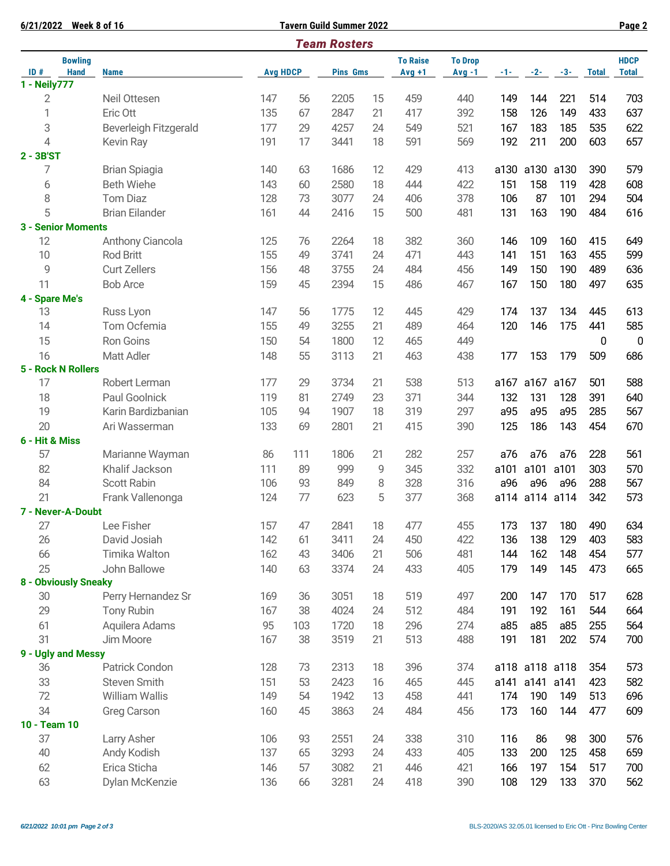| 6/21/2022                          | <b>Week 8 of 16</b>                       |            |                 | <b>Tavern Guild Summer 2022</b> |          |                 |                |            |                |            |              | Page 2       |
|------------------------------------|-------------------------------------------|------------|-----------------|---------------------------------|----------|-----------------|----------------|------------|----------------|------------|--------------|--------------|
|                                    |                                           |            |                 | <b>Team Rosters</b>             |          |                 |                |            |                |            |              |              |
| <b>Bowling</b>                     |                                           |            |                 |                                 |          | <b>To Raise</b> | <b>To Drop</b> |            |                |            |              | <b>HDCP</b>  |
| ID#<br><b>Hand</b><br>1 - Neily777 | <b>Name</b>                               |            | <b>Avg HDCP</b> | <b>Pins Gms</b>                 |          | $Avg +1$        | $Avg -1$       | $-1-$      | $-2-$          | $-3-$      | <b>Total</b> | <b>Total</b> |
| 2                                  | Neil Ottesen                              | 147        | 56              | 2205                            | 15       | 459             | 440            | 149        | 144            | 221        | 514          | 703          |
| 1                                  | Eric Ott                                  | 135        | 67              | 2847                            | 21       | 417             | 392            | 158        | 126            | 149        | 433          | 637          |
| 3                                  |                                           | 177        | 29              | 4257                            | 24       | 549             | 521            | 167        | 183            | 185        | 535          | 622          |
| 4                                  | <b>Beverleigh Fitzgerald</b><br>Kevin Ray | 191        | 17              | 3441                            | 18       | 591             | 569            | 192        | 211            | 200        | 603          | 657          |
| 2 - 3B'ST                          |                                           |            |                 |                                 |          |                 |                |            |                |            |              |              |
| 7                                  | <b>Brian Spiagia</b>                      | 140        | 63              | 1686                            | 12       | 429             | 413            | a130       | a130           | a130       | 390          | 579          |
| 6                                  | <b>Beth Wiehe</b>                         | 143        | 60              | 2580                            | 18       | 444             | 422            | 151        | 158            | 119        | 428          | 608          |
| 8                                  | <b>Tom Diaz</b>                           | 128        | 73              | 3077                            | 24       | 406             | 378            | 106        | 87             | 101        | 294          | 504          |
| 5                                  | <b>Brian Eilander</b>                     | 161        | 44              | 2416                            | 15       | 500             | 481            | 131        | 163            | 190        | 484          | 616          |
|                                    |                                           |            |                 |                                 |          |                 |                |            |                |            |              |              |
| <b>3 - Senior Moments</b><br>12    | Anthony Ciancola                          | 125        | 76              | 2264                            | 18       | 382             | 360            | 146        | 109            | 160        | 415          | 649          |
| 10                                 | Rod Britt                                 | 155        | 49              | 3741                            | 24       | 471             | 443            | 141        | 151            | 163        | 455          | 599          |
| 9                                  | <b>Curt Zellers</b>                       |            | 48              |                                 | 24       |                 |                |            |                |            | 489          |              |
|                                    |                                           | 156        |                 | 3755                            |          | 484             | 456            | 149        | 150            | 190        |              | 636          |
| 11                                 | <b>Bob Arce</b>                           | 159        | 45              | 2394                            | 15       | 486             | 467            | 167        | 150            | 180        | 497          | 635          |
| 4 - Spare Me's<br>13               |                                           | 147        | 56              | 1775                            | 12       | 445             | 429            | 174        | 137            | 134        | 445          | 613          |
| 14                                 | Russ Lyon<br>Tom Ocfemia                  | 155        | 49              | 3255                            |          | 489             | 464            | 120        | 146            | 175        |              | 585          |
|                                    |                                           |            |                 |                                 | 21       |                 |                |            |                |            | 441          |              |
| 15                                 | Ron Goins                                 | 150        | 54              | 1800                            | 12       | 465             | 449            |            |                |            | 0            | $\mathbf 0$  |
| 16                                 | Matt Adler                                | 148        | 55              | 3113                            | 21       | 463             | 438            | 177        | 153            | 179        | 509          | 686          |
| 5 - Rock N Rollers<br>17           | Robert Lerman                             | 177        | 29              | 3734                            | 21       | 538             | 513            |            | a167 a167 a167 |            |              | 588          |
|                                    |                                           |            |                 |                                 |          |                 |                |            |                |            | 501          |              |
| 18                                 | Paul Goolnick                             | 119        | 81              | 2749                            | 23       | 371             | 344            | 132        | 131            | 128        | 391          | 640          |
| 19                                 | Karin Bardizbanian                        | 105        | 94              | 1907                            | 18       | 319             | 297            | a95        | a95            | a95        | 285          | 567          |
| 20                                 | Ari Wasserman                             | 133        | 69              | 2801                            | 21       | 415             | 390            | 125        | 186            | 143        | 454          | 670          |
| 6 - Hit & Miss                     |                                           |            |                 |                                 |          |                 |                |            |                |            |              |              |
| 57                                 | Marianne Wayman                           | 86         | 111             | 1806                            | 21       | 282             | 257            | a76        | a76            | a76        | 228          | 561          |
| 82                                 | Khalif Jackson<br><b>Scott Rabin</b>      | 111        | 89              | 999                             | 9        | 345             | 332            | a101       | a101           | a101       | 303          | 570          |
| 84                                 |                                           | 106        | 93              | 849                             | 8        | 328             | 316            | a96        | a96            | a96        | 288          | 567          |
| 21                                 | Frank Vallenonga                          | 124        | 77              | 623                             | 5        | 377             | 368            |            | a114 a114 a114 |            | 342          | 573          |
| 7 - Never-A-Doubt                  |                                           |            |                 |                                 |          |                 |                |            |                |            |              |              |
| 27<br>26                           | Lee Fisher<br>David Josiah                | 157<br>142 | 47<br>61        | 2841<br>3411                    | 18<br>24 | 477<br>450      | 455<br>422     | 173<br>136 | 137<br>138     | 180<br>129 | 490<br>403   | 634          |
|                                    |                                           |            |                 |                                 |          |                 |                |            |                |            |              | 583          |
| 66                                 | Timika Walton                             | 162        | 43              | 3406                            | 21       | 506             | 481            | 144        | 162            | 148        | 454          | 577          |
| 25<br>8 - Obviously Sneaky         | John Ballowe                              | 140        | 63              | 3374                            | 24       | 433             | 405            | 179        | 149            | 145        | 473          | 665          |
| 30                                 | Perry Hernandez Sr                        | 169        | 36              | 3051                            | 18       | 519             | 497            | 200        | 147            | 170        | 517          | 628          |
| 29                                 |                                           | 167        | 38              | 4024                            | 24       | 512             | 484            | 191        | 192            |            | 544          | 664          |
|                                    | <b>Tony Rubin</b>                         |            |                 |                                 |          |                 |                |            |                | 161        |              |              |
| 61<br>31                           | Aquilera Adams                            | 95<br>167  | 103             | 1720                            | 18       | 296             | 274            | a85        | a85            | a85        | 255          | 564          |
|                                    | Jim Moore                                 |            | 38              | 3519                            | 21       | 513             | 488            | 191        | 181            | 202        | 574          | 700          |
| 9 - Ugly and Messy<br>36           | Patrick Condon                            | 128        | 73              | 2313                            | 18       | 396             | 374            |            | a118 a118 a118 |            | 354          | 573          |
| 33                                 |                                           | 151        | 53              |                                 |          | 465             | 445            |            | a141 a141 a141 |            | 423          |              |
| 72                                 | Steven Smith<br><b>William Wallis</b>     | 149        | 54              | 2423<br>1942                    | 16<br>13 | 458             | 441            | 174        | 190            | 149        | 513          | 582          |
| 34                                 |                                           |            |                 |                                 |          |                 |                |            |                |            |              | 696          |
|                                    | <b>Greg Carson</b>                        | 160        | 45              | 3863                            | 24       | 484             | 456            | 173        | 160            | 144        | 477          | 609          |
| 10 - Team 10<br>37                 |                                           |            |                 |                                 |          |                 |                |            |                |            |              |              |
| 40                                 | Larry Asher                               | 106<br>137 | 93<br>65        | 2551<br>3293                    | 24<br>24 | 338<br>433      | 310            | 116<br>133 | 86<br>200      | 98<br>125  | 300<br>458   | 576<br>659   |
|                                    | Andy Kodish                               |            |                 |                                 |          |                 | 405            |            |                |            |              |              |
| 62                                 | Erica Sticha                              | 146        | 57              | 3082                            | 21       | 446             | 421            | 166        | 197            | 154        | 517          | 700          |
| 63                                 | Dylan McKenzie                            | 136        | 66              | 3281                            | 24       | 418             | 390            | 108        | 129            | 133        | 370          | 562          |